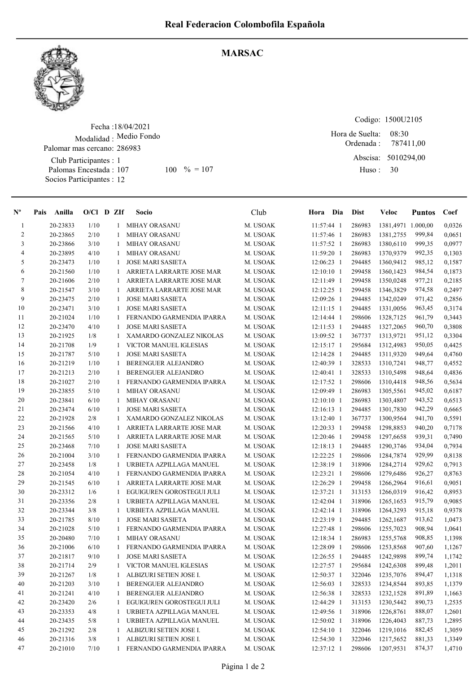

## MARSAC

Fecha : 18/04/2021 Modalidad : Medio Fondo Club Participantes : 1 Palomas Encestada : Socios Participantes : 12 Palomar mas cercano: 286983 107 100 % = 107 Huso: 30

Codigo: 1500U2105 Ordenada : Abscisa: 5010294,00 08:30 Hora de Suelta: 787411,00

Huso :

| $N^{\circ}$    | Anilla<br>Pais | $O/Cl$ D ZIf |   | Socio                     | Club     | Hora Dia     | <b>Dist</b> | Veloc              | <b>Puntos</b> | Coef   |
|----------------|----------------|--------------|---|---------------------------|----------|--------------|-------------|--------------------|---------------|--------|
| $\mathbf{1}$   | 20-23833       | 1/10         | 1 | <b>MIHAY ORASANU</b>      | M. USOAK | 11:57:44 1   | 286983      | 1381,4971 1.000,00 |               | 0,0326 |
| $\overline{2}$ | 20-23865       | 2/10         | 1 | <b>MIHAY ORASANU</b>      | M. USOAK | 11:57:46 1   | 286983      | 1381,2755          | 999,84        | 0,0651 |
| 3              | 20-23866       | 3/10         | 1 | <b>MIHAY ORASANU</b>      | M. USOAK | 11:57:52 1   | 286983      | 1380,6110          | 999,35        | 0,0977 |
| 4              | 20-23895       | 4/10         | 1 | <b>MIHAY ORASANU</b>      | M. USOAK | 11:59:20 1   | 286983      | 1370,9379          | 992,35        | 0,1303 |
| 5              | 20-23473       | 1/10         | 1 | <b>JOSE MARI SASIETA</b>  | M. USOAK | 12:06:23 1   | 294485      | 1360,9412          | 985,12        | 0,1587 |
| 6              | 20-21560       | 1/10         | 1 | ARRIETA LARRARTE JOSE MAR | M. USOAK | $12:10:10$ 1 | 299458      | 1360,1423          | 984,54        | 0,1873 |
| 7              | 20-21606       | 2/10         |   | ARRIETA LARRARTE JOSE MAR | M. USOAK | 12:11:49 1   | 299458      | 1350,0248          | 977,21        | 0,2185 |
| $\,8\,$        | 20-21547       | 3/10         | 1 | ARRIETA LARRARTE JOSE MAR | M. USOAK | $12:12:25$ 1 | 299458      | 1346,3829          | 974,58        | 0,2497 |
| 9              | 20-23475       | 2/10         | 1 | <b>JOSE MARI SASIETA</b>  | M. USOAK | 12:09:26 1   | 294485      | 1342,0249          | 971,42        | 0,2856 |
| 10             | 20-23471       | 3/10         | 1 | <b>JOSE MARI SASIETA</b>  | M. USOAK | $12:11:15$ 1 | 294485      | 1331,0056          | 963,45        | 0,3174 |
| 11             | 20-21024       | 1/10         | 1 | FERNANDO GARMENDIA IPARRA | M. USOAK | $12:14:44$ 1 | 298606      | 1328,7125          | 961,79        | 0,3443 |
| 12             | 20-23470       | 4/10         | 1 | <b>JOSE MARI SASIETA</b>  | M. USOAK | $12:11:53$ 1 | 294485      | 1327,2065          | 960,70        | 0,3808 |
| 13             | 20-21925       | 1/8          | 1 | XAMARDO GONZALEZ NIKOLAS  | M. USOAK | 13:09:52 1   | 367737      | 1313,9721          | 951,12        | 0,3304 |
| 14             | 20-21708       | 1/9          | 1 | VICTOR MANUEL IGLESIAS    | M. USOAK | $12:15:17$ 1 | 295684      | 1312,4983          | 950,05        | 0,4425 |
| 15             | 20-21787       | 5/10         | 1 | <b>JOSE MARI SASIETA</b>  | M. USOAK | $12:14:28$ 1 | 294485      | 1311,9320          | 949,64        | 0,4760 |
| 16             | 20-21219       | 1/10         | 1 | BERENGUER ALEJANDRO       | M. USOAK | 12:40:39 1   | 328533      | 1310,7241          | 948,77        | 0,4552 |
| 17             | 20-21213       | 2/10         | 1 | BERENGUER ALEJANDRO       | M. USOAK | 12:40:41 1   | 328533      | 1310,5498          | 948,64        | 0,4836 |
| 18             | 20-21027       | 2/10         | 1 | FERNANDO GARMENDIA IPARRA | M. USOAK | $12:17:52$ 1 | 298606      | 1310,4418          | 948,56        | 0,5634 |
| 19             | 20-23855       | 5/10         | 1 | <b>MIHAY ORASANU</b>      | M. USOAK | 12:09:49 1   | 286983      | 1305,5561          | 945,02        | 0,6187 |
| 20             | 20-23841       | 6/10         | 1 | <b>MIHAY ORASANU</b>      | M. USOAK | $12:10:10$ 1 | 286983      | 1303,4807          | 943,52        | 0,6513 |
| 21             | 20-23474       | 6/10         | 1 | <b>JOSE MARI SASIETA</b>  | M. USOAK | $12:16:13$ 1 | 294485      | 1301,7830          | 942,29        | 0,6665 |
| 22             | 20-21928       | 2/8          | 1 | XAMARDO GONZALEZ NIKOLAS  | M. USOAK | 13:12:40 1   | 367737      | 1300,9564          | 941,70        | 0,5591 |
| 23             | 20-21566       | 4/10         | 1 | ARRIETA LARRARTE JOSE MAR | M. USOAK | 12:20:33 1   | 299458      | 1298,8853          | 940,20        | 0,7178 |
| 24             | 20-21565       | 5/10         | 1 | ARRIETA LARRARTE JOSE MAR | M. USOAK | 12:20:46 1   | 299458      | 1297,6658          | 939,31        | 0,7490 |
| 25             | 20-23468       | 7/10         | 1 | <b>JOSE MARI SASIETA</b>  | M. USOAK | $12:18:13$ 1 | 294485      | 1290,3746          | 934,04        | 0,7934 |
| 26             | 20-21004       | 3/10         | 1 | FERNANDO GARMENDIA IPARRA | M. USOAK | 12:22:25 1   | 298606      | 1284,7874          | 929,99        | 0,8138 |
| 27             | 20-23458       | 1/8          | 1 | URBIETA AZPILLAGA MANUEL  | M. USOAK | 12:38:19 1   | 318906      | 1284,2714          | 929,62        | 0,7913 |
| 28             | 20-21054       | 4/10         | 1 | FERNANDO GARMENDIA IPARRA | M. USOAK | $12:23:21$ 1 | 298606      | 1279,6486          | 926,27        | 0,8763 |
| 29             | 20-21545       | 6/10         | 1 | ARRIETA LARRARTE JOSE MAR | M. USOAK | 12:26:29 1   | 299458      | 1266,2964          | 916,61        | 0,9051 |
| 30             | 20-23312       | 1/6          | 1 | EGUIGUREN GOROSTEGUI JULI | M. USOAK | 12:37:21 1   | 313153      | 1266,0319          | 916,42        | 0,8953 |
| 31             | 20-23356       | 2/8          | 1 | URBIETA AZPILLAGA MANUEL  | M. USOAK | 12:42:04 1   | 318906      | 1265,1653          | 915,79        | 0,9085 |
| 32             | 20-23344       | 3/8          | 1 | URBIETA AZPILLAGA MANUEL  | M. USOAK | $12:42:14$ 1 | 318906      | 1264,3293          | 915,18        | 0,9378 |
| 33             | 20-21785       | 8/10         | 1 | <b>JOSE MARI SASIETA</b>  | M. USOAK | 12:23:19 1   | 294485      | 1262,1687          | 913,62        | 1,0473 |
| 34             | 20-21028       | 5/10         | 1 | FERNANDO GARMENDIA IPARRA | M. USOAK | 12:27:48 1   | 298606      | 1255,7023          | 908,94        | 1,0641 |
| 35             | 20-20480       | 7/10         | 1 | <b>MIHAY ORASANU</b>      | M. USOAK | 12:18:34 1   | 286983      | 1255,5768          | 908,85        | 1,1398 |
| 36             | 20-21006       | 6/10         |   | FERNANDO GARMENDIA IPARRA | M. USOAK | 12:28:09 1   | 298606      | 1253,8568          | 907,60        | 1,1267 |
| 37             | 20-21817       | 9/10         | 1 | <b>JOSE MARI SASIETA</b>  | M. USOAK | 12:26:55 1   | 294485      | 1242,9898          | 899,74        | 1,1742 |
| 38             | 20-21714       | 2/9          | 1 | VICTOR MANUEL IGLESIAS    | M. USOAK | 12:27:57 1   | 295684      | 1242,6308          | 899,48        | 1,2011 |
| 39             | 20-21267       | 1/8          | 1 | ALBIZURI SETIEN JOSE I.   | M. USOAK | 12:50:37 1   | 322046      | 1235,7076          | 894,47        | 1,1318 |
| 40             | 20-21203       | 3/10         | 1 | BERENGUER ALEJANDRO       | M. USOAK | 12:56:03 1   | 328533      | 1234,8544          | 893,85        | 1,1379 |
| 41             | 20-21241       | 4/10         | 1 | BERENGUER ALEJANDRO       | M. USOAK | 12:56:38 1   | 328533      | 1232,1528          | 891,89        | 1,1663 |
| 42             | 20-23420       | 2/6          | 1 | EGUIGUREN GOROSTEGUI JULI | M. USOAK | 12:44:29 1   | 313153      | 1230,5442          | 890,73        | 1,2535 |
| 43             | 20-23353       | 4/8          | 1 | URBIETA AZPILLAGA MANUEL  | M. USOAK | 12:49:56 1   | 318906      | 1226,8761          | 888,07        | 1,2601 |
| 44             | 20-23435       | 5/8          | 1 | URBIETA AZPILLAGA MANUEL  | M. USOAK | 12:50:02 1   | 318906      | 1226,4043          | 887,73        | 1,2895 |
| 45             | 20-21292       | 2/8          | 1 | ALBIZURI SETIEN JOSE I.   | M. USOAK | 12:54:10 1   | 322046      | 1219,1016          | 882,45        | 1,3059 |
| 46             | 20-21316       | 3/8          |   | ALBIZURI SETIEN JOSE I.   | M. USOAK | 12:54:30 1   | 322046      | 1217,5652          | 881,33        | 1,3349 |
| 47             | 20-21010       | 7/10         |   | FERNANDO GARMENDIA IPARRA | M. USOAK | 12:37:12 1   | 298606      | 1207,9531          | 874,37        | 1,4710 |